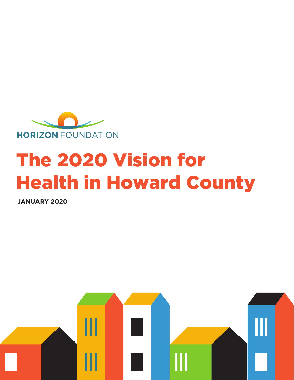

# The 2020 Vision for **Health in Howard County**

**JANUARY 2020**

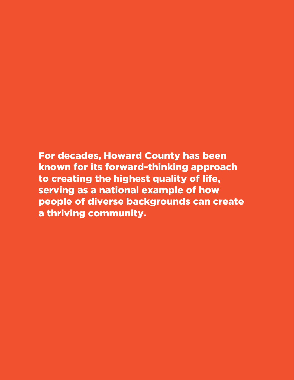For decades, Howard County has been known for its forward-thinking approach to creating the highest quality of life, serving as a national example of how people of diverse backgrounds can create a thriving community.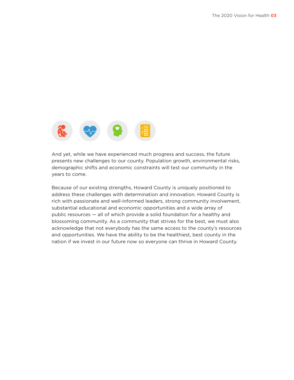

And yet, while we have experienced much progress and success, the future presents new challenges to our county. Population growth, environmental risks, demographic shifts and economic constraints will test our community in the years to come.

Because of our existing strengths, Howard County is uniquely positioned to address these challenges with determination and innovation. Howard County is rich with passionate and well-informed leaders, strong community involvement, substantial educational and economic opportunities and a wide array of public resources — all of which provide a solid foundation for a healthy and blossoming community. As a community that strives for the best, we must also acknowledge that not everybody has the same access to the county's resources and opportunities. We have the ability to be the healthiest, best county in the nation if we invest in our future now so everyone can thrive in Howard County.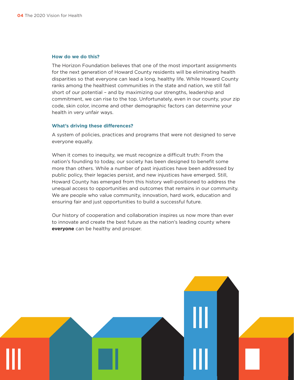#### **How do we do this?**

The Horizon Foundation believes that one of the most important assignments for the next generation of Howard County residents will be eliminating health disparities so that everyone can lead a long, healthy life. While Howard County ranks among the healthiest communities in the state and nation, we still fall short of our potential – and by maximizing our strengths, leadership and commitment, we can rise to the top. Unfortunately, even in our county, your zip code, skin color, income and other demographic factors can determine your health in very unfair ways.

#### **What's driving these differences?**

A system of policies, practices and programs that were not designed to serve everyone equally.

When it comes to inequity, we must recognize a difficult truth: From the nation's founding to today, our society has been designed to benefit some more than others. While a number of past injustices have been addressed by public policy, their legacies persist, and new injustices have emerged. Still, Howard County has emerged from this history well-positioned to address the unequal access to opportunities and outcomes that remains in our community. We are people who value community, innovation, hard work, education and ensuring fair and just opportunities to build a successful future.

Our history of cooperation and collaboration inspires us now more than ever to innovate and create the best future as the nation's leading county where **everyone** can be healthy and prosper.

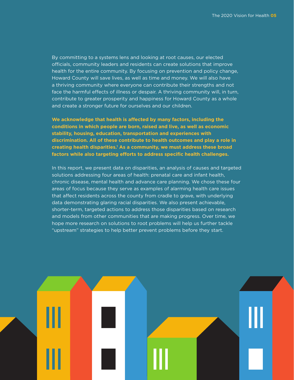By committing to a systems lens and looking at root causes, our elected officials, community leaders and residents can create solutions that improve health for the entire community. By focusing on prevention and policy change, Howard County will save lives, as well as time and money. We will also have a thriving community where everyone can contribute their strengths and not face the harmful effects of illness or despair. A thriving community will, in turn, contribute to greater prosperity and happiness for Howard County as a whole and create a stronger future for ourselves and our children.

**We acknowledge that health is affected by many factors, including the conditions in which people are born, raised and live, as well as economic stability, housing, education, transportation and experiences with discrimination. All of these contribute to health outcomes and play a role in creating health disparities.1 As a community, we must address these broad factors while also targeting efforts to address specific health challenges.** 

In this report, we present data on disparities, an analysis of causes and targeted solutions addressing four areas of health: prenatal care and infant health, chronic disease, mental health and advance care planning. We chose these four areas of focus because they serve as examples of alarming health care issues that affect residents across the county from cradle to grave, with underlying data demonstrating glaring racial disparities. We also present achievable, shorter-term, targeted actions to address those disparities based on research and models from other communities that are making progress. Over time, we hope more research on solutions to root problems will help us further tackle "upstream" strategies to help better prevent problems before they start.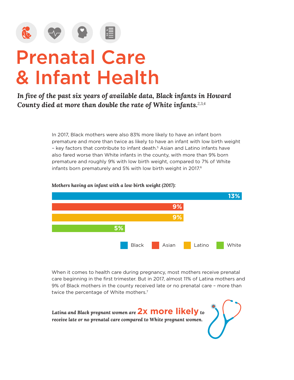

# Prenatal Care & Infant Health

*In five of the past six years of available data, Black infants in Howard County died at more than double the rate of White infants.2,3,4*

> In 2017, Black mothers were also 83% more likely to have an infant born premature and more than twice as likely to have an infant with low birth weight – key factors that contribute to infant death.5 Asian and Latino infants have also fared worse than White infants in the county, with more than 9% born premature and roughly 9% with low birth weight, compared to 7% of White infants born prematurely and 5% with low birth weight in 2017.<sup>6</sup>



#### *Mothers having an infant with a low birth weight (2017):*

When it comes to health care during pregnancy, most mothers receive prenatal care beginning in the first trimester. But in 2017, almost 11% of Latina mothers and 9% of Black mothers in the county received late or no prenatal care – more than twice the percentage of White mothers.<sup>7</sup>

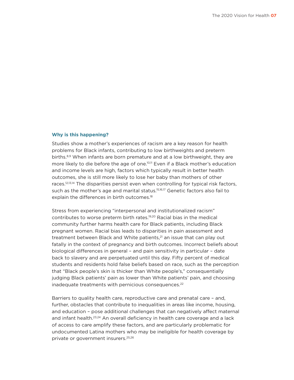#### **Why is this happening?**

Studies show a mother's experiences of racism are a key reason for health problems for Black infants, contributing to low birthweights and preterm births.<sup>8,9</sup> When infants are born premature and at a low birthweight, they are more likely to die before the age of one.<sup>10,11</sup> Even if a Black mother's education and income levels are high, factors which typically result in better health outcomes, she is still more likely to lose her baby than mothers of other races.<sup>12,13,14</sup> The disparities persist even when controlling for typical risk factors, such as the mother's age and marital status.<sup>15,16,17</sup> Genetic factors also fail to explain the differences in birth outcomes.<sup>18</sup>

Stress from experiencing "interpersonal and institutionalized racism" contributes to worse preterm birth rates.19,20 Racial bias in the medical community further harms health care for Black patients, including Black pregnant women. Racial bias leads to disparities in pain assessment and treatment between Black and White patients,<sup>21</sup> an issue that can play out fatally in the context of pregnancy and birth outcomes. Incorrect beliefs about biological differences in general – and pain sensitivity in particular – date back to slavery and are perpetuated until this day. Fifty percent of medical students and residents hold false beliefs based on race, such as the perception that "Black people's skin is thicker than White people's," consequentially judging Black patients' pain as lower than White patients' pain, and choosing inadequate treatments with pernicious consequences.<sup>22</sup>

Barriers to quality health care, reproductive care and prenatal care – and, further, obstacles that contribute to inequalities in areas like income, housing, and education – pose additional challenges that can negatively affect maternal and infant health.<sup>23,24</sup> An overall deficiency in health care coverage and a lack of access to care amplify these factors, and are particularly problematic for undocumented Latina mothers who may be ineligible for health coverage by private or government insurers.25,26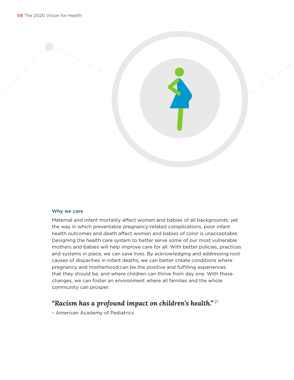

#### **Why we care**

Maternal and infant mortality affect women and babies of all backgrounds, yet the way in which preventable pregnancy-related complications, poor infant health outcomes and death affect women and babies of color is unacceptable. Designing the health care system to better serve some of our most vulnerable mothers and babies will help improve care for all. With better policies, practices and systems in place, we can save lives. By acknowledging and addressing root causes of disparities in infant deaths, we can better create conditions where pregnancy and motherhood can be the positive and fulfilling experiences that they should be, and where children can thrive from day one. With these changes, we can foster an environment where all families and the whole community can prosper.

*"Racism has a profound impact on children's health." <sup>27</sup>*

– American Academy of Pediatrics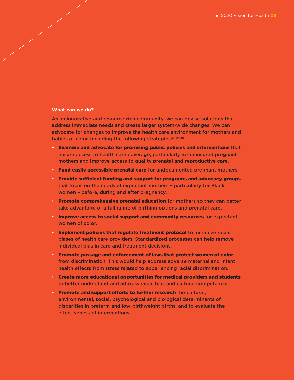#### **What can we do?**

As an innovative and resource-rich community, we can devise solutions that address immediate needs and create larger system-wide changes. We can advocate for changes to improve the health care environment for mothers and babies of color, including the following strategies:<sup>28,29,30</sup>

- Examine and advocate for promising public policies and interventions that ensure access to health care coverage, particularly for uninsured pregnant mothers and improve access to quality prenatal and reproductive care.
- Fund easily accessible prenatal care for undocumented pregnant mothers.
- Provide sufficient funding and support for programs and advocacy groups that focus on the needs of expectant mothers – particularly for Black women – before, during and after pregnancy.
- Promote comprehensive prenatal education for mothers so they can better take advantage of a full range of birthing options and prenatal care.
- Improve access to social support and community resources for expectant women of color.
- Implement policies that regulate treatment protocol to minimize racial biases of health care providers. Standardized processes can help remove individual bias in care and treatment decisions.
- Promote passage and enforcement of laws that protect women of color from discrimination. This would help address adverse maternal and infant health effects from stress related to experiencing racial discrimination.
- Create more educational opportunities for medical providers and students to better understand and address racial bias and cultural competence.
- Promote and support efforts to further research the cultural, environmental, social, psychological and biological determinants of disparities in preterm and low-birthweight births, and to evaluate the effectiveness of interventions.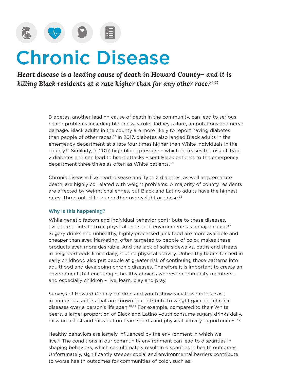## Chronic Disease

*Heart disease is a leading cause of death in Howard County— and it is killing Black residents at a rate higher than for any other race.31,32*

> Diabetes, another leading cause of death in the community, can lead to serious health problems including blindness, stroke, kidney failure, amputations and nerve damage. Black adults in the county are more likely to report having diabetes than people of other races.<sup>33</sup> In 2017, diabetes also landed Black adults in the emergency department at a rate four times higher than White individuals in the county.34 Similarly, in 2017, high blood pressure – which increases the risk of Type 2 diabetes and can lead to heart attacks – sent Black patients to the emergency department three times as often as White patients.<sup>35</sup>

> Chronic diseases like heart disease and Type 2 diabetes, as well as premature death, are highly correlated with weight problems. A majority of county residents are affected by weight challenges, but Black and Latino adults have the highest rates: Three out of four are either overweight or obese.<sup>36</sup>

#### **Why is this happening?**

While genetic factors and individual behavior contribute to these diseases, evidence points to toxic physical and social environments as a major cause.<sup>37</sup> Sugary drinks and unhealthy, highly processed junk food are more available and cheaper than ever. Marketing, often targeted to people of color, makes these products even more desirable. And the lack of safe sidewalks, paths and streets in neighborhoods limits daily, routine physical activity. Unhealthy habits formed in early childhood also put people at greater risk of continuing those patterns into adulthood and developing chronic diseases. Therefore it is important to create an environment that encourages healthy choices wherever community members – and especially children – live, learn, play and pray.

Surveys of Howard County children and youth show racial disparities exist in numerous factors that are known to contribute to weight gain and chronic diseases over a person's life span.<sup>38,39</sup> For example, compared to their White peers, a larger proportion of Black and Latino youth consume sugary drinks daily, miss breakfast and miss out on team sports and physical activity opportunities.40

Healthy behaviors are largely influenced by the environment in which we live.41 The conditions in our community environment can lead to disparities in shaping behaviors, which can ultimately result in disparities in health outcomes. Unfortunately, significantly steeper social and environmental barriers contribute to worse health outcomes for communities of color, such as: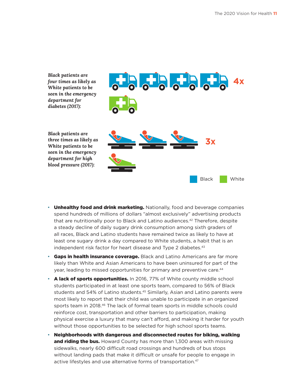*Black patients are four times as likely as White patients to be seen in the emergency department for diabetes (2017):*

*Black patients are* 

*White patients to be seen in the emergency department for high blood pressure (2017):*



- Unhealthy food and drink marketing. Nationally, food and beverage companies spend hundreds of millions of dollars "almost exclusively" advertising products that are nutritionally poor to Black and Latino audiences.42 Therefore, despite a steady decline of daily sugary drink consumption among sixth graders of all races, Black and Latino students have remained twice as likely to have at least one sugary drink a day compared to White students, a habit that is an independent risk factor for heart disease and Type 2 diabetes.<sup>43</sup>
- Gaps in health insurance coverage. Black and Latino Americans are far more likely than White and Asian Americans to have been uninsured for part of the year, leading to missed opportunities for primary and preventive care.44
- A lack of sports opportunities. In 2016, 77% of White county middle school students participated in at least one sports team, compared to 56% of Black students and 54% of Latino students.45 Similarly, Asian and Latino parents were most likely to report that their child was unable to participate in an organized sports team in 2018.46 The lack of formal team sports in middle schools could reinforce cost, transportation and other barriers to participation, making physical exercise a luxury that many can't afford, and making it harder for youth without those opportunities to be selected for high school sports teams.
- Neighborhoods with dangerous and disconnected routes for biking, walking and riding the bus. Howard County has more than 1,300 areas with missing sidewalks, nearly 600 difficult road crossings and hundreds of bus stops without landing pads that make it difficult or unsafe for people to engage in active lifestyles and use alternative forms of transportation.<sup>47</sup>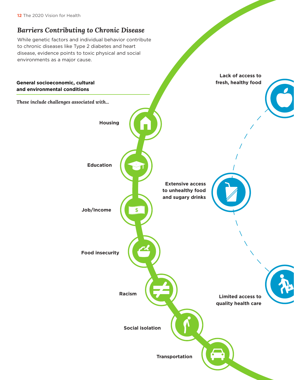### *Barriers Contributing to Chronic Disease*

While genetic factors and individual behavior contribute to chronic diseases like Type 2 diabetes and heart disease, evidence points to toxic physical and social environments as a major cause.

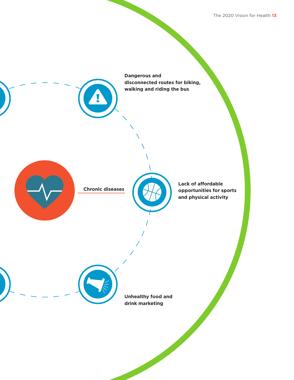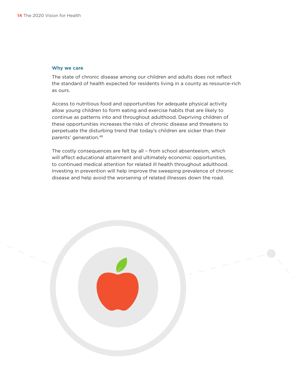#### **Why we care**

The state of chronic disease among our children and adults does not reflect the standard of health expected for residents living in a county as resource-rich as ours.

Access to nutritious food and opportunities for adequate physical activity allow young children to form eating and exercise habits that are likely to continue as patterns into and throughout adulthood. Depriving children of these opportunities increases the risks of chronic disease and threatens to perpetuate the disturbing trend that today's children are sicker than their parents' generation.48

The costly consequences are felt by all – from school absenteeism, which will affect educational attainment and ultimately economic opportunities, to continued medical attention for related ill health throughout adulthood. Investing in prevention will help improve the sweeping prevalence of chronic disease and help avoid the worsening of related illnesses down the road.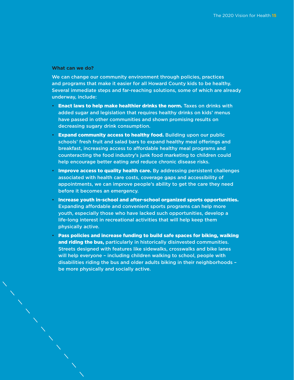#### **What can we do?**

We can change our community environment through policies, practices and programs that make it easier for all Howard County kids to be healthy. Several immediate steps and far-reaching solutions, some of which are already underway, include:

- Enact laws to help make healthier drinks the norm. Taxes on drinks with added sugar and legislation that requires healthy drinks on kids' menus have passed in other communities and shown promising results on decreasing sugary drink consumption.
- Expand community access to healthy food. Building upon our public schools' fresh fruit and salad bars to expand healthy meal offerings and breakfast, increasing access to affordable healthy meal programs and counteracting the food industry's junk food marketing to children could help encourage better eating and reduce chronic disease risks.
- Improve access to quality health care. By addressing persistent challenges associated with health care costs, coverage gaps and accessibility of appointments, we can improve people's ability to get the care they need before it becomes an emergency.
- Increase youth in-school and after-school organized sports opportunities. Expanding affordable and convenient sports programs can help more youth, especially those who have lacked such opportunities, develop a life-long interest in recreational activities that will help keep them physically active.
- Pass policies and increase funding to build safe spaces for biking, walking and riding the bus, particularly in historically disinvested communities. Streets designed with features like sidewalks, crosswalks and bike lanes will help everyone – including children walking to school, people with disabilities riding the bus and older adults biking in their neighborhoods – be more physically and socially active.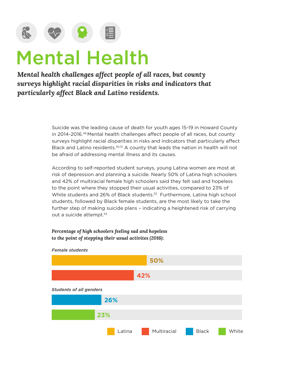### Mental Health

*Mental health challenges affect people of all races, but county surveys highlight racial disparities in risks and indicators that particularly affect Black and Latino residents.*

> Suicide was the leading cause of death for youth ages 15-19 in Howard County in 2014-2016.49 Mental health challenges affect people of all races, but county surveys highlight racial disparities in risks and indicators that particularly affect Black and Latino residents.50,51 A county that leads the nation in health will not be afraid of addressing mental illness and its causes.

According to self-reported student surveys, young Latina women are most at risk of depression and planning a suicide. Nearly 50% of Latina high schoolers and 42% of multiracial female high schoolers said they felt sad and hopeless to the point where they stopped their usual activities, compared to 23% of White students and 26% of Black students.<sup>52</sup> Furthermore, Latina high school students, followed by Black female students, are the most likely to take the further step of making suicide plans – indicating a heightened risk of carrying out a suicide attempt.<sup>53</sup>

### *Percentage of high schoolers feeling sad and hopeless to the point of stopping their usual activites (2016):*



*Female students*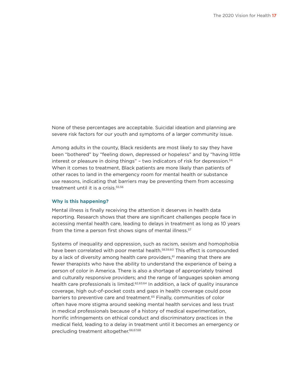None of these percentages are acceptable. Suicidal ideation and planning are severe risk factors for our youth and symptoms of a larger community issue.

Among adults in the county, Black residents are most likely to say they have been "bothered" by "feeling down, depressed or hopeless" and by "having little interest or pleasure in doing things" – two indicators of risk for depression.54 When it comes to treatment, Black patients are more likely than patients of other races to land in the emergency room for mental health or substance use reasons, indicating that barriers may be preventing them from accessing treatment until it is a crisis.<sup>55,56</sup>

#### **Why is this happening?**

Mental illness is finally receiving the attention it deserves in health data reporting. Research shows that there are significant challenges people face in accessing mental health care, leading to delays in treatment as long as 10 years from the time a person first shows signs of mental illness.<sup>57</sup>

Systems of inequality and oppression, such as racism, sexism and homophobia have been correlated with poor mental health.<sup>58,59,60</sup> This effect is compounded by a lack of diversity among health care providers,<sup>61</sup> meaning that there are fewer therapists who have the ability to understand the experience of being a person of color in America. There is also a shortage of appropriately trained and culturally responsive providers; and the range of languages spoken among health care professionals is limited.<sup>62,63,64</sup> In addition, a lack of quality insurance coverage, high out-of-pocket costs and gaps in health coverage could pose barriers to preventive care and treatment.<sup>65</sup> Finally, communities of color often have more stigma around seeking mental health services and less trust in medical professionals because of a history of medical experimentation, horrific infringements on ethical conduct and discriminatory practices in the medical field, leading to a delay in treatment until it becomes an emergency or precluding treatment altogether. 66,67,68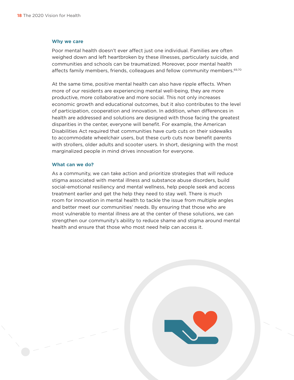#### **Why we care**

Poor mental health doesn't ever affect just one individual. Families are often weighed down and left heartbroken by these illnesses, particularly suicide, and communities and schools can be traumatized. Moreover, poor mental health affects family members, friends, colleagues and fellow community members.<sup>69,70</sup>

At the same time, positive mental health can also have ripple effects. When more of our residents are experiencing mental well-being, they are more productive, more collaborative and more social. This not only increases economic growth and educational outcomes, but it also contributes to the level of participation, cooperation and innovation. In addition, when differences in health are addressed and solutions are designed with those facing the greatest disparities in the center, everyone will benefit. For example, the American Disabilities Act required that communities have curb cuts on their sidewalks to accommodate wheelchair users, but these curb cuts now benefit parents with strollers, older adults and scooter users. In short, designing with the most marginalized people in mind drives innovation for everyone.

#### **What can we do?**

As a community, we can take action and prioritize strategies that will reduce stigma associated with mental illness and substance abuse disorders, build social-emotional resiliency and mental wellness, help people seek and access treatment earlier and get the help they need to stay well. There is much room for innovation in mental health to tackle the issue from multiple angles and better meet our communities' needs. By ensuring that those who are most vulnerable to mental illness are at the center of these solutions, we can strengthen our community's ability to reduce shame and stigma around mental health and ensure that those who most need help can access it.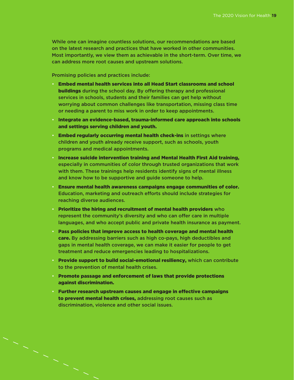While one can imagine countless solutions, our recommendations are based on the latest research and practices that have worked in other communities. Most importantly, we view them as achievable in the short-term. Over time, we can address more root causes and upstream solutions.

Promising policies and practices include:

- Embed mental health services into all Head Start classrooms and school **buildings** during the school day. By offering therapy and professional services in schools, students and their families can get help without worrying about common challenges like transportation, missing class time or needing a parent to miss work in order to keep appointments.
- Integrate an evidence-based, trauma-informed care approach into schools and settings serving children and youth.
- Embed regularly occurring mental health check-ins in settings where children and youth already receive support, such as schools, youth programs and medical appointments.
- Increase suicide intervention training and Mental Health First Aid training, especially in communities of color through trusted organizations that work with them. These trainings help residents identify signs of mental illness and know how to be supportive and guide someone to help.
- Ensure mental health awareness campaigns engage communities of color. Education, marketing and outreach efforts should include strategies for reaching diverse audiences.
- Prioritize the hiring and recruitment of mental health providers who represent the community's diversity and who can offer care in multiple languages, and who accept public and private health insurance as payment.
- Pass policies that improve access to health coverage and mental health care. By addressing barriers such as high co-pays, high deductibles and gaps in mental health coverage, we can make it easier for people to get treatment and reduce emergencies leading to hospitalizations.
- Provide support to build social-emotional resiliency, which can contribute to the prevention of mental health crises.
- Promote passage and enforcement of laws that provide protections against discrimination.
- Further research upstream causes and engage in effective campaigns to prevent mental health crises, addressing root causes such as discrimination, violence and other social issues.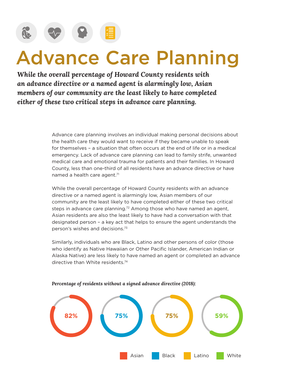# Advance Care Planning

*While the overall percentage of Howard County residents with an advance directive or a named agent is alarmingly low, Asian members of our community are the least likely to have completed either of these two critical steps in advance care planning.*

> Advance care planning involves an individual making personal decisions about the health care they would want to receive if they became unable to speak for themselves – a situation that often occurs at the end of life or in a medical emergency. Lack of advance care planning can lead to family strife, unwanted medical care and emotional trauma for patients and their families. In Howard County, less than one-third of all residents have an advance directive or have named a health care agent.<sup>71</sup>

While the overall percentage of Howard County residents with an advance directive or a named agent is alarmingly low, Asian members of our community are the least likely to have completed either of these two critical steps in advance care planning.<sup>72</sup> Among those who have named an agent, Asian residents are also the least likely to have had a conversation with that designated person – a key act that helps to ensure the agent understands the person's wishes and decisions.73

Similarly, individuals who are Black, Latino and other persons of color (those who identify as Native Hawaiian or Other Pacific Islander, American Indian or Alaska Native) are less likely to have named an agent or completed an advance directive than White residents.<sup>74</sup>



*Percentage of residents without a signed advance directive (2018):*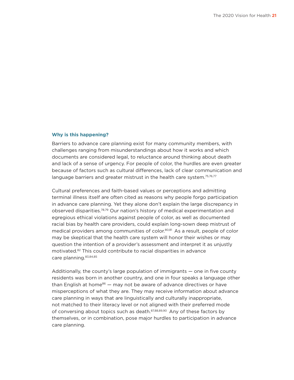#### **Why is this happening?**

Barriers to advance care planning exist for many community members, with challenges ranging from misunderstandings about how it works and which documents are considered legal, to reluctance around thinking about death and lack of a sense of urgency. For people of color, the hurdles are even greater because of factors such as cultural differences, lack of clear communication and language barriers and greater mistrust in the health care system.<sup>75,76,77</sup>

Cultural preferences and faith-based values or perceptions and admitting terminal illness itself are often cited as reasons why people forgo participation in advance care planning. Yet they alone don't explain the large discrepancy in observed disparities.78,79 Our nation's history of medical experimentation and egregious ethical violations against people of color, as well as documented racial bias by health care providers, could explain long-sown deep mistrust of medical providers among communities of color.<sup>80,81</sup> As a result, people of color may be skeptical that the health care system will honor their wishes or may question the intention of a provider's assessment and interpret it as unjustly motivated.82 This could contribute to racial disparities in advance care planning.83,84,85

Additionally, the county's large population of immigrants — one in five county residents was born in another country, and one in four speaks a language other than English at home $86 -$  may not be aware of advance directives or have misperceptions of what they are. They may receive information about advance care planning in ways that are linguistically and culturally inappropriate, not matched to their literacy level or not aligned with their preferred mode of conversing about topics such as death.<sup>87,88,89,90</sup> Any of these factors by themselves, or in combination, pose major hurdles to participation in advance care planning.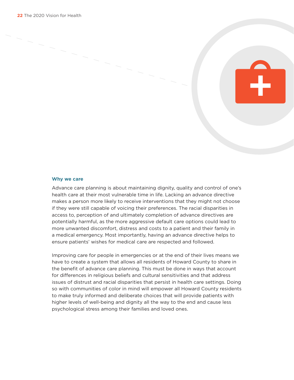#### **Why we care**

Advance care planning is about maintaining dignity, quality and control of one's health care at their most vulnerable time in life. Lacking an advance directive makes a person more likely to receive interventions that they might not choose if they were still capable of voicing their preferences. The racial disparities in access to, perception of and ultimately completion of advance directives are potentially harmful, as the more aggressive default care options could lead to more unwanted discomfort, distress and costs to a patient and their family in a medical emergency. Most importantly, having an advance directive helps to ensure patients' wishes for medical care are respected and followed.

Improving care for people in emergencies or at the end of their lives means we have to create a system that allows all residents of Howard County to share in the benefit of advance care planning. This must be done in ways that account for differences in religious beliefs and cultural sensitivities and that address issues of distrust and racial disparities that persist in health care settings. Doing so with communities of color in mind will empower all Howard County residents to make truly informed and deliberate choices that will provide patients with higher levels of well-being and dignity all the way to the end and cause less psychological stress among their families and loved ones.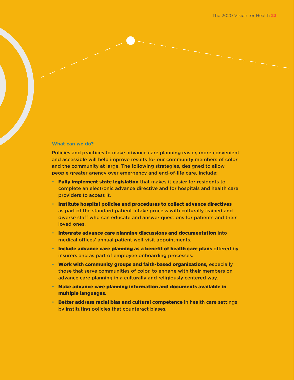#### **What can we do?**

Policies and practices to make advance care planning easier, more convenient and accessible will help improve results for our community members of color and the community at large. The following strategies, designed to allow people greater agency over emergency and end-of-life care, include:

- Fully implement state legislation that makes it easier for residents to complete an electronic advance directive and for hospitals and health care providers to access it.
- Institute hospital policies and procedures to collect advance directives as part of the standard patient intake process with culturally trained and diverse staff who can educate and answer questions for patients and their loved ones.
- Integrate advance care planning discussions and documentation into medical offices' annual patient well-visit appointments.
- Include advance care planning as a benefit of health care plans offered by insurers and as part of employee onboarding processes.
- Work with community groups and faith-based organizations, especially those that serve communities of color, to engage with their members on advance care planning in a culturally and religiously centered way.
- Make advance care planning information and documents available in multiple languages.
- Better address racial bias and cultural competence in health care settings by instituting policies that counteract biases.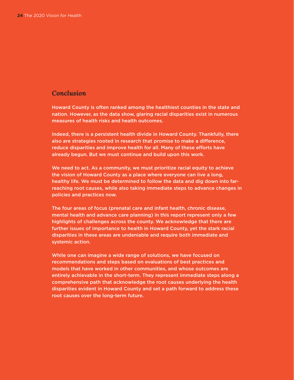### *Conclusion*

Howard County is often ranked among the healthiest counties in the state and nation. However, as the data show, glaring racial disparities exist in numerous measures of health risks and health outcomes.

Indeed, there is a persistent health divide in Howard County. Thankfully, there also are strategies rooted in research that promise to make a difference, reduce disparities and improve health for all. Many of these efforts have already begun. But we must continue and build upon this work.

We need to act. As a community, we must prioritize racial equity to achieve the vision of Howard County as a place where everyone can live a long, healthy life. We must be determined to follow the data and dig down into farreaching root causes, while also taking immediate steps to advance changes in policies and practices now.

The four areas of focus (prenatal care and infant health, chronic disease, mental health and advance care planning) in this report represent only a few highlights of challenges across the county. We acknowledge that there are further issues of importance to health in Howard County, yet the stark racial disparities in these areas are undeniable and require both immediate and systemic action.

While one can imagine a wide range of solutions, we have focused on recommendations and steps based on evaluations of best practices and models that have worked in other communities, and whose outcomes are entirely achievable in the short-term. They represent immediate steps along a comprehensive path that acknowledge the root causes underlying the health disparities evident in Howard County and set a path forward to address these root causes over the long-term future.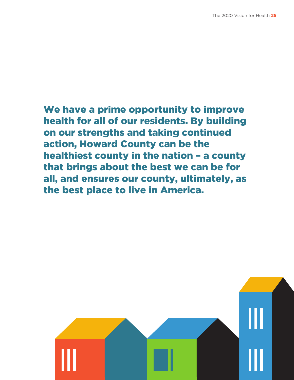### We have a prime opportunity to improve health for all of our residents. By building on our strengths and taking continued action, Howard County can be the healthiest county in the nation – a county that brings about the best we can be for all, and ensures our county, ultimately, as the best place to live in America.

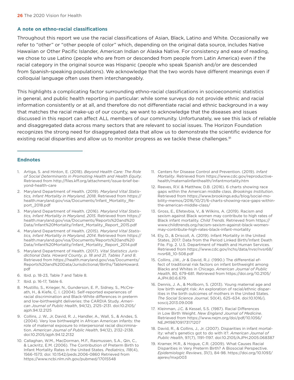#### **A note on ethno-racial classifications**

Throughout this report we use the racial classifications of Asian, Black, Latino and White. Occasionally we refer to "other" or "other people of color" which, depending on the original data source, includes Native Hawaiian or Other Pacific Islander, American Indian or Alaska Native. For consistency and ease of reading, we chose to use Latino (people who are from or descended from people from Latin America) even if the racial category in the original source was Hispanic (people who speak Spanish and/or are descended from Spanish-speaking populations). We acknowledge that the two words have different meanings even if colloquial language often uses them interchangeably.

This highlights a complicating factor surrounding ethno-racial classifications in socioeconomic statistics in general, and public health reporting in particular: while some surveys do not provide ethnic and racial information consistently or at all, and therefore do not differentiate racial and ethnic background in a way that matches the racial make-up of our county, we want to acknowledge that the diseases and issues discussed in this report can affect ALL members of our community. Unfortunately, we see this lack of reliable and disaggregated data across many sectors that are relevant to social issues. The Horizon Foundation recognizes the strong need for disaggregated data that allow us to demonstrate the scientific evidence for existing racial disparities and allow us to monitor progress as we tackle these challenges.<sup>91</sup>

#### **Endnotes**

- 1. Artiga, S. and Hinton, E. (2018). *Beyond Health Care: The Role of Social Determinants in Promoting Health and Health Equity.*  Retrieved from http://files.kff.org/attachment/issue-brief-beyond-health-care
- 2. Maryland Department of Health. (2019). *Maryland Vital Statistics, Infant Mortality in Maryland, 2018*. Retrieved from https:// health.maryland.gov/vsa/Documents/Infant\_Mortality\_Report\_2018.pdf
- 3. Maryland Department of Health. (2016). *Maryland Vital Statistics, Infant Mortality in Maryland, 2015*. Retrieved from https:// health.maryland.gov/vsa/Documents/Reports%20and%20 Data/Infant%20Mortality/Infant\_Mortality\_Report\_2015.pdf
- 4. Maryland Department of Health. (2015). *Maryland Vital Statistics, Infant Mortality in Maryland, 2014*. Retrieved from https:// health.maryland.gov/vsa/Documents/Reports%20and%20 Data/Infant%20Mortality/Infant\_Mortality\_Report\_2014.pdf
- 5. Maryland Department of Health. (2017). *Vital Statistics Jurisdictional Data. Howard County, p. 18 and 21, Tables 7 and 8*. Retrieved from https://health.maryland.gov/vsa/Documents/ Reports%20and%20Data/Jurisdictional/Births/TableHoward. pdf
- 6. Ibid. p. 18-23, Table 7 and Table 8.
- 7. Ibid. p. 16-17, Table 6.
- 8. Mustillo, S., Krieger, N., Gunderson, E. P., Sidney, S., McCreath, H., & Kiefe, C. I. (2004). Self-reported experiences of racial discrimination and Black-White differences in preterm and low-birthweight deliveries: the CARDIA Study. *American Journal of Public Health*, 94(12), 2125–2131. doi:10.2105/ ajph.94.12.2125
- 9. Collins, J. W., Jr, David, R. J., Handler, A., Wall, S., & Andes, S. (2004). Very low birthweight in African American infants: the role of maternal exposure to interpersonal racial discrimination. *American Journal of Public Health*, 94(12), 2132–2138. doi:10.2105/ajph.94.12.2132
- 10. Callaghan, W.M., MacDorman, M.F., Rasmussen, S.A., Qin, C., & Lackritz, E.M. (2006). The Contribution of Preterm Birth to Infant Mortality Rates in the United States. *Pediatrics, 118*(4), 1566-1573; doi: 10.1542/peds.2006-0860 Retrieved from https://www.ncbi.nlm.nih.gov/pubmed/17015548
- 11. Centers for Disease Control and Prevention. (2019). *Infant Mortality*. Retrieved from https://www.cdc.gov/reproductivehealth/maternalinfanthealth/infantmortality.htm
- 12. Reeves, R.V. & Matthew, D.B. (2016). 6 charts showing race gaps within the American middle class. *Brookings Institution*. Retrieved from https://www.brookings.edu/blog/social-mobility-memos/2016/10/21/6-charts-showing-race-gaps-withinthe-american-middle-class/
- 13. Gross, E., Efetevbia, V., & Wilkins, A. (2019). Racism and sexism against Black women may contribute to high rates of Black infant mortality. *Child Trends*. Retrieved from https:// www.childtrends.org/racism-sexism-against-black-womenmay-contribute-high-rates-black-infant-mortality
- 14. Ely, D., & Driscoll, A. (2019). Infant Mortality in the United States, 2017: Data from the Period Linked Birth/Infant Death File. Fig. 2. U.S. Department of Health and Human Services. Retrieved from https://www.cdc.gov/nchs/data/nvsr/nvsr68/ nvsr68\_10-508.pdf
- 15. Collins, J.W., Jr & David, R.J. (1990.) The differential effect of traditional risk factors on infant birthweight among Blacks and Whites in Chicago. *American Journal of Public Health*, 80, 679-681. Retrieved from https://doi.org/10.2105/ AJPH.80.6.679.
- 16. Dennis, J. A., & Mollborn, S. (2013). Young maternal age and low birth weight risk: An exploration of racial/ethnic disparities in the birth outcomes of mothers in the United States. *The Social Science Journal*, 50(4), 625–634. doi:10.1016/j. soscij.2013.09.008
- 17. Kleinman, J.C. & Kessel, S.S. (1987). Racial Differences in Low Birth Weight. *New England Journal of Medicine*. Retrieved from https://www.nejm.org/doi/pdf/10.1056/ NEJM198709173171207
- 18. David, R., & Collins, J., Jr. (2007). Disparities in infant mortality: what's genetics got to do with it?. *American Journal of Public Health*, 97(7), 1191–1197. doi:10.2105/AJPH.2005.068387
- 19. Kramer, M.R., & Hogue, C.R. (2009). What Causes Racial Disparities in Very Preterm Birth? A Biosocial Perspective. *Epidemiologic Reviews*, 31(1), 84-98. https://doi.org/10.1093/ ajerev/mxp003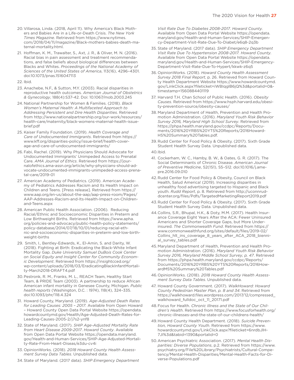- 20.Villarosa, Linda. (2018, April 11). Why America's Black Mothers and Babies Are in a Life-or-Death Crisis. *The New York Times Magazine*. Retrieved from https://www.nytimes. com/2018/04/11/magazine/Black-mothers-babies-death-maternal-mortality.html.
- 21. Hoffman, K. M., Trawalter, S., Axt, J. R., & Oliver, M. N. (2016). Racial bias in pain assessment and treatment recommendations, and false beliefs about biological differences between Blacks and Whites. *Proceedings of the National Academy of Sciences of the United States of America*, 113(16), 4296–4301. doi:10.1073/pnas.1516047113
- 22. Ibid.
- 23. Anachebe, N.F., & Sutton, M.Y. (2003). Racial disparities in reproductive health outcomes. *American Journal of Obstetrics & Gynecology*, 188(4):S37-42. Doi: 10.1067/mob.2003.245
- 24. National Partnership for Women & Families. (2018). *Black Women's Maternal Health: A Multifaceted Approach to Addressing Persistent and Dire Health Disparities*. Retrieved from http://www.nationalpartnership.org/our-work/resources/ health-care/maternity/black-womens-maternal-health-issuebrief.pdf
- 25. Kaiser Family Foundation. (2019). *Health Coverage and Care of Undocumented Immigrants*. Retrieved from https:// www.kff.org/disparities-policy/issue-brief/health-coverage-and-care-of-undocumented-immigrants/
- 26. Fabi, Rachel. (2019). Why Physicians Should Advocate for Undocumented Immigrants' Unimpeded Access to Prenatal Care. *AMA Journal of Ethics*. Retrieved from https://journalofethics.ama-assn.org/article/why-physicians-should-advocate-undocumented-immigrants-unimpeded-access-prenatal-care/2019-01
- 27. American Academy of Pediatrics. (2019). American Academy of Pediatrics Addresses Racism and Its Health Impact on Children and Teens. [Press release]. Retrieved from https:// www.aap.org/en-us/about-the-aap/aap-press-room/Pages/ AAP-Addresses-Racism-and-Its-Health-Impact-on-Childrenand-Teens.aspx
- 28. American Public Health Association. (2006). Reducing Racial/Ethnic and Socioeconomic Disparities in Preterm and Low Birthweight Births. Retrieved from https://www.apha. org/policies-and-advocacy/public-health-policy-statements/ policy-database/2014/07/18/10/01/reducing-racial-ethnic-and-socioeconomic-disparities-in-preterm-and-low-birthweight-births
- 29. Smith, I., Bentley-Edwards, K., El-Amin, S. and Darity, W. (2018). Fighting at Birth: Eradicating the Black-White Infant Mortality Gap. *Duke University Samuel DuBois Cook Center on Social Equity and Insight Center for Community Economic Development*. Retrieved from https://insightcced.org/ wp-content/uploads/2018/03/EradicatingBlackInfantMortality-March2018-DRAFT4.pdf
- 30.Pestronk, R. M., Franks, M. L., REACH Team, Healthy Start Team, & PRIDE Team (2003). A partnership to reduce African American infant mortality in Genesee County, Michigan. *Public health reports* (Washington, D.C. : 1974), 118(4), 324–335. doi:10.1093/phr/118.4.324
- 31. Howard County, Maryland. (2019). *Age-Adjusted Death Rates for Leading Causes: 2005 – 2017.* Available from Open Howard – Howard County Open Data Portal Website https://opendata. howardcountymd.gov/Health/Age-Adjusted-Death-Rates-for-Leading-Causes-2005-2/j7s2-ynf8
- 32. State of Maryland. (2017). *SHIP Age-Adjusted Mortality Rate from Heart Disease 2009-2017*. *Howard County*. Available from Open Data Portal Website https://opendata.maryland. gov/Health-and-Human-Services/SHIP-Age-Adjusted-Mortality-Rate-From-Heart-Diseas/e3du-cv4i
- 33. OpinionWorks. (2018). *2018 Howard County Health Assessment Survey Data Tables*. Unpublished data.
- 34.State of Maryland. (2017 data). *SHIP Emergency Department*

*Visit Rate Due To Diabetes 2008-2017. Howard County.* Available from Open Data Portal Website https://opendata. maryland.gov/Health-and-Human-Services/SHIP-Emergency-Department-Visit-Rate-Due-To-Diabet/e6q8-2q3b

- 35. State of Maryland. (2017 data). *SHIP Emergency Department Visit Rate Due To Hypertension 2008-2017. Howard County.*  Available from Open Data Portal Website https://opendata. maryland.gov/Health-and-Human-Services/SHIP-Emergency-Department-Visit-Rate-Due-To-Hypert/kkwk-z6q5
- 36. OpinionWorks. (2018). *Howard County Health Assessment Survey 2018 Final Report*, p. 26. Retrieved from Howard County Health Department Website https://www.howardcountymd. gov/LinkClick.aspx?fileticket=iWBIqglB6jQ%3d&portalid=0& timestamp=1560884401119
- 37. Harvard T.H. Chan School of Public Health. (2016). *Obesity Causes*. Retrieved from https://www.hsph.harvard.edu/obesity-prevention-source/obesity-causes/
- 38. Maryland Department of Health, Prevention and Health Promotion Administration. (2016). *Maryland Youth Risk Behavior Survey 2016, Maryland High School Survey*. Retrieved from https://phpa.health.maryland.gov/ccdpc/Reports/Documents/2016%20YRBS%20YTS%20Reports/2016Howard-HS%20Summary%20Tables.pdf.
- 39. Rudd Center for Food Policy & Obesity. (2017). Sixth Grade Student Health Survey Data. Unpublished data.
- 40.Ibid.
- 41. Cockerham, W. C., Hamby, B. W., & Oates, G. R. (2017). The Social Determinants of Chronic Disease. *American Journal of Preventive Medicine*, 52(1S1), S5–S12. doi:10.1016/j.amepre.2016.09.010
- 42. Rudd Center for Food Policy & Obesity, Council on Black Health, Salud America! (2019). Increasing disparities in unhealthy food advertising targeted to Hispanic and Black youth. *Rudd Report*, p. 8. Retrieved from http://uconnruddcenter.org/files/Pdfs/TargetedMarketingReport2019.pdf
- 43. Rudd Center for Food Policy & Obesity. (2017). Sixth Grade Student Health Survey Data. Unpublished data.
- 44.Collins, S.R., Bhupal, H.K., & Doty, M.M. (2017). Health Insurance Coverage Eight Years After the ACA: Fewer Uninsured Americans and Shorter Coverage Gaps, but More Underinsured. *The Commonwealth Fund*. Retrieved from https:// www.commonwealthfund.org/sites/default/files/2019-02/ Collins hlt ins coverage 8 years after ACA 2018 biennial\_survey\_tables.pdf
- 45. Maryland Department of Health, Prevention and Health Promotion Administration. (2016). *Maryland Youth Risk Behavior Survey 2016, Maryland Middle School Survey, p. 47*. Retrieved from https://phpa.health.maryland.gov/ccdpc/Reports/ Documents/2016%20YRBS%20YTS%20Reports/2016HowardMS%20Summary%20Tables.pdf
- 46.OpinionWorks. (2018). *2018 Howard County Health Assessment Survey Data Tables*. Unpublished data.
- 47. Howard County Government. (2017). *WalkHoward: Howard County Pedestrian Master Plan, p. 8 and 34*. Retrieved from https://walkhoward.files.wordpress.com/2017/12/compressed\_ walkhoward\_fulldoc\_oct\_11\_20171.pdf
- 48.Focus for Health. *Chronic Illness and the State of Our Children's Health*. Retrieved from https://www.focusforhealth.org/ chronic-illnesses-and-the-state-of-our-childrens-health/
- 49.Howard County Health Department. (2018). *Suicide Prevention, Howard County Youth*. Retrieved from https://www. howardcountymd.gov/LinkClick.aspx?fileticket=6nrdbJlH-7JI%3d&tabid=1390&portalid=0
- 50.American Psychiatric Association. (2017). *Mental Health Disparities: Diverse Populations*, p.2. Retrieved from https://www. psychiatry.org/File%20Library/Psychiatrists/Cultural-Competency/Mental-Health-Disparities/Mental-Health-Facts-for-Diverse-Populations.pdf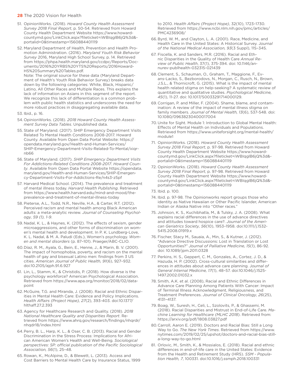#### **28** The 2020 Vision for Health

- 51. OpinionWorks. (2018). *Howard County Health Assessment Survey 2018 Final Report*, p. 50-54. Retrieved from Howard County Health Department Website https://www.howardcountymd.gov/LinkClick.aspx?fileticket=iWBIqglB6jQ%3d& portalid=0&timestamp=1560884401119
- 52. Maryland Department of Health, Prevention and Health Promotion Administration. (2016). *Maryland Youth Risk Behavior Survey* 2016, Maryland High School Survey, p. 14. Retrieved from https://phpa.health.maryland.gov/ccdpc/Reports/Documents/2016%20YRBS%20YTS%20Reports/2016Howard-HS%20Summary%20Tables.pdf.

Note: The original source for these data (Maryland Department of Health's Youth Risk Behavior Survey) breaks data down by the following categories: White, Black, Hispanic/ Latino, All Other Races and Multiple Races. This explains the lack of information on Asians in this segment of the report. We recognize this lack of differentiation is a common problem with public health statistics and underscores the need for more robust practices in disaggregating available data.

- 53. Ibid., p. 16.
- 54. OpinionWorks. (2018). *2018 Howard County Health Assessment Survey Data Tables*. Unpublished data.
- 55. State of Maryland. (2017). SHIP Emergency Department Visits Related To Mental Health Conditions 2008-2017. Howard County. Available from Open Data Portal Website: https:// opendata.maryland.gov/Health-and-Human-Services/ SHIP-Emergency-Department-Visits-Related-To-Mental/xiqrnb66
- 56. State of Maryland. (2017). *SHIP Emergency Department Visits For Addictions-Related Conditions 2008-2017*. *Howard County.* Available from Open Data Portal Website https://opendata. maryland.gov/Health-and-Human-Services/SHIP-Emergency-Department-Visits-For-Addictions-Re/n4s3-z5pf
- 57. Harvard Medical School. (2014). The prevalence and treatment of mental illness today. *Harvard Health Publishing*. Retrieved from https://www.health.harvard.edu/mind-and-mood/theprevalence-and-treatment-of-mental-illness-today
- 58. Pieterse, A.L., Todd, N.R., Neville, H.A., & Carter, R.T. (2012). Perceived racism and mental health among Black American adults: a meta-analytic review. *Journal of Counseling Psychology, 59 (1), 1-9*.
- 59. Nadal, K. L., & Haynes, K. (2012). The effects of sexism, gender microaggressions, and other forms of discrimination on women's mental health and development. In P. K. Lundberg-Love, K. L. Nadal, & M. A. Paludi (Eds.), Women's psychology. *Women and mental disorders* (p. 87–101). Praeger/ABC-CLIO.
- 60.Díaz, R. M., Ayala, G., Bein, E., Henne, J., & Marin, B. V. (2001). The impact of homophobia, poverty, and racism on the mental health of gay and bisexual Latino men: findings from 3 US cities. *American Journal of Public Health, 91*(6), 927–932. doi:10.2105/ajph.91.6.927
- 61. Lin, L., Stamm, K., & Christidis, P. (2018). How diverse is the psychology workforce? American Psychological Association. Retrieved from https://www.apa.org/monitor/2018/02/datapoint
- 62. McGuire, T.G. and Miranda, J. (2008). Racial and Ethnic Disparities in Mental Health Care: Evidence and Policy Implications. *Health Affairs (Project Hope), 27*(2), 393-403. doi:10.1377/ hlthaff.27.2.393
- 63. Agency for Healthcare Research and Quality. (2018). *2018 National Healthcare Quality and Disparities Report*. Retrieved from https://www.ahrq.gov/research/findings/nhqrdr/ nhqdr18/index.html
- 64.Perry, B. L., Harp, K. L., & Oser, C. B. (2013). Racial and Gender Discrimination in the Stress Process: Implications for African American Women's Health and Well-Being. *Sociological perspectives: SP: official publication of the Pacific Sociological Association, 56*(1), 25–48.
- 65. Rowan, K., McAlpine, D., & Blewett, L. (2013). Access and Cost Barriers to Mental Health Care by Insurance Status, 1999

to 2010. *Health Affairs (Project Hope)*, 32(10), 1723–1730. Retrieved from https://www.ncbi.nlm.nih.gov/pmc/articles/ PMC4236908/

- 66. Byrd, W. M., and Clayton, L. A. (2001). Race, Medicine, and Health Care in the United States: A Historical Survey. J*ournal of the National Medical Association, 93*(3 Suppl), 11S–34S.
- 67. Fiscella, K. and Sanders, M.R. (2016). Racial and Ethnic Disparities in the Quality of Health Care *Annual Review of Public Health*, 37(1), 375-394. doi: 10.1146/annurev-publhealth-032315-021439
- 68. Clement, S., Schauman, O., Graham, T., Maggione, F., Evans-Lacko, S., Bezborodovs, N., Morgan, C., Rusch, N., Brown, J.S.L., & Thornicroft, G. (2015). What is the impact of mental health related stigma on help-seeking? A systematic review of quantitative and qualitative studies. *Psychological Medicine, 45*(1), 11-27. doi: 10.1017/S0033291714000129.
- 69. Corrigan, P. and Miller, F. (2004). Shame, blame, and contamination: A review of the impact of mental illness stigma on family members. *Journal of Mental Health, 13*(6), 537-548. doi: 10.1080/09638230400017004
- 70. Unite for Sight. Module 1: Introduction to Global Mental Health: Effects of Mental Health on Individuals and Populations. Retrieved from https://www.uniteforsight.org/mental-health/ module1
- 71. OpinionWorks. (2018). *Howard County Health Assessment Survey 2018 Final Report*, p. 97-98. Retrieved from Howard County Health Department Website https://www.howardcountymd.gov/LinkClick.aspx?fileticket=iWBIqglB6jQ%3d& portalid=0&timestamp=1560884401119
- 72. OpinionWorks. (2018). *Howard County Health Assessment Survey 2018 Final Report*, p. 97-98. Retrieved from Howard County Health Department Website https://www.howardcountymd.gov/LinkClick.aspx?fileticket=iWBIqglB6jQ%3d& portalid=0&timestamp=1560884401119
- 73. Ibid. p. 100.
- 74. Ibid. p. 97-98. The Opinionworks report groups those who identity as Native Hawaiian or Other Pacific Islander, American Indian or Alaska Native into "Other races."
- 75. Johnson, K. S., Kuchibhatla, M., & Tulsky, J. A. (2008). What explains racial differences in the use of advance directives and attitudes toward hospice care?. *Journal of the American Geriatrics Society, 56*(10), 1953–1958. doi:10.1111/j.1532- 5415.2008.01919.x
- 76. Fischer, Stacy M., Sauaia, A., Min, S., & Kutner, J. (2012). "Advance Directive Discussions: Lost in Translation or Lost Opportunities?" *Journal of Palliative Medicine, 15*(1), 86-92. doi: 10.1089/jpm.2011.0328
- 77. Perkins, H. S., Geppert, C. M., Gonzales, A., Cortez, J. D., & Hazuda, H. P. (2002). Cross-cultural similarities and differences in attitudes about advance care planning. J*ournal of General Internal Medicine, 17*(1), 48–57. doi:10.1046/j.1525- 1497.2002.01032.x
- 78. Smith, A.K. et al. (2008), Racial and Ethnic Differences in Advance Care Planning Among Patients With Cancer: Impact of Terminal Illness Acknowledgment, Religiousness, and Treatment Preferences. *Journal of Clinical Oncology, 26*(25), 4131–4137.
- 79. Boag, W., Suresh, H., Celi, L., Szolovits, P., & Ghassemi, M. (2018). Racial Disparities and Mistrust in End-of-Life Care. *Machine Learning for Healthcare (MLHC 2018*). Retrieved from: https://arxiv.org/pdf/1808.03827.pdf
- 80.Carroll, Aaron E. (2019). Doctors and Racial Bias: Still a Long Way to Go. *The New York Times*. Retrieved from https://www. nytimes.com/2019/02/25/upshot/doctors-and-racial-bias-stilla-long-way-to-go.html
- 81. Orlovic, M., Smith, K., & Mossialos, E. (2018). Racial and ethnic differences in end-of-life care in the United States: Evidence from the Health and Retirement Study (HRS). *SSM - Population Health, 7*, 100331. doi:10.1016/j.ssmph.2018.100331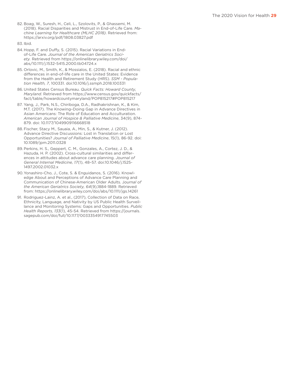- 82. Boag, W., Suresh, H., Celi, L., Szolovits, P., & Ghassemi, M. (2018). Racial Disparities and Mistrust in End-of-Life Care. *Machine Learning for Healthcare (MLHC 2018)*. Retrieved from: https://arxiv.org/pdf/1808.03827.pdf
- 83. Ibid.
- 84.Hopp, F. and Duffy, S. (2015). Racial Variations in Endof-Life Care. *Journal of the American Geriatrics Society.* Retrieved from https://onlinelibrary.wiley.com/doi/ abs/10.1111/j.1532-5415.2000.tb04724.x
- 85. Orlovic, M., Smith, K., & Mossialos, E. (2018). Racial and ethnic differences in end-of-life care in the United States: Evidence from the Health and Retirement Study (HRS). *SSM - Population Health, 7*, 100331. doi:10.1016/j.ssmph.2018.100331
- 86. United States Census Bureau. *Quick Facts: Howard County, Maryland*. Retrieved from https://www.census.gov/quickfacts/ fact/table/howardcountymaryland/POP815217#POP815217
- 87. Yang, J., Park, N.S., Chiriboga, D.A., Radhakrishnan, K., & Kim, M.T. (2017). The Knowing–Doing Gap in Advance Directives in Asian Americans: The Role of Education and Acculturation. *American Journal of Hospice & Palliative Medicine*, 34(9), 874- 879. doi: 10.1177/1049909116668518
- 88. Fischer, Stacy M., Sauaia, A., Min, S., & Kutner, J. (2012). Advance Directive Discussions: Lost in Translation or Lost Opportunities? *Journal of Palliative Medicine*, 15(1), 86-92. doi: 10.1089/jpm.2011.0328
- 89. Perkins, H. S., Geppert, C. M., Gonzales, A., Cortez, J. D., & Hazuda, H. P. (2002). Cross-cultural similarities and differences in attitudes about advance care planning. *Journal of General Internal Medicine, 17*(1), 48–57. doi:10.1046/j.1525- 1497.2002.01032.x
- 90.Yonashiro-Cho, J., Cote, S. & Enguidanos, S. (2016). Knowledge About and Perceptions of Advance Care Planning and Communication of Chinese-American Older Adults. J*ournal of the American Geriatrics Society, 64*(9),1884-1889. Retrieved from: https://onlinelibrary.wiley.com/doi/abs/10.1111/jgs.14261
- 91. Rodriguez-Lainz, A. et al., (2017), Collection of Data on Race, Ethnicity, Language, and Nativity by US Public Health Surveillance and Monitoring Systems: Gaps and Opportunities. *Public Health Reports, 133*(1), 45-54. Retrieved from https://journals. sagepub.com/doi/full/10.1177/0033354917745503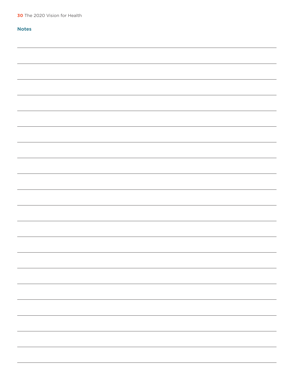÷.

#### **Notes**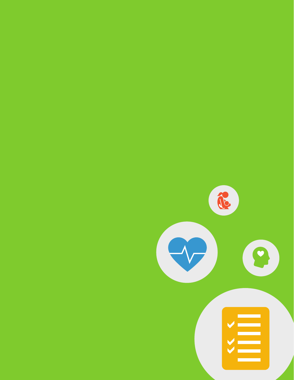